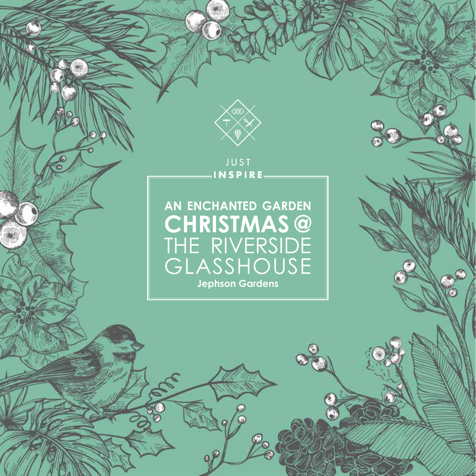

**JUST** INSPIRE.

# **AN ENCHANTED GARDEN CHRISTMAS @** THE RIVERSIDE GLASSHOUSE **Jephson Gardens**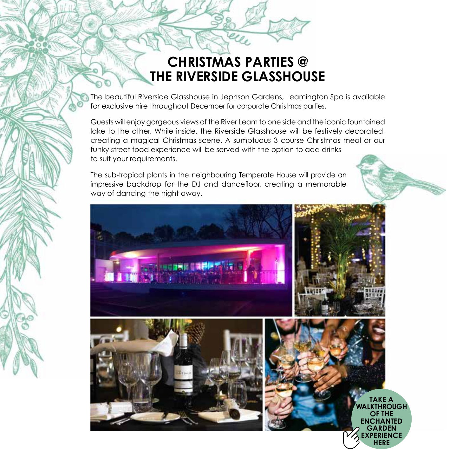## **CHRISTMAS PARTIES @ THE RIVERSIDE GLASSHOUSE**

The beautiful Riverside Glasshouse in Jephson Gardens, Leamington Spa is available for exclusive hire throughout December for corporate Christmas parties.

Guests will enjoy gorgeous views of the River Leam to one side and the iconic fountained lake to the other. While inside, the Riverside Glasshouse will be festively decorated, creating a magical Christmas scene. A sumptuous 3 course Christmas meal or our funky street food experience will be served with the option to add drinks to suit your requirements.

The sub-tropical plants in the neighbouring Temperate House will provide an impressive backdrop for the DJ and dancefloor, creating a memorable way of dancing the night away.

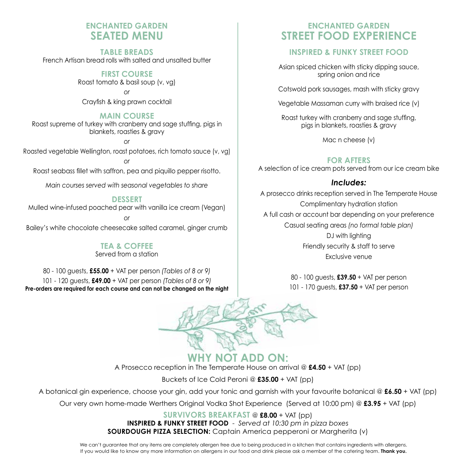## **ENCHANTED GARDEN SEATED MENU**

**TABLE BREADS** French Artisan bread rolls with salted and unsalted butter

> **FIRST COURSE** Roast tomato & basil soup (v, vg)

> > *or*

Crayfish & king prawn cocktail

#### **MAIN COURSE**

Roast supreme of turkey with cranberry and sage stuffing, pigs in blankets, roasties & gravy

*or* Roasted vegetable Wellington, roast potatoes, rich tomato sauce (v, vg)

*or* Roast seabass fillet with saffron, pea and piquillo pepper risotto.

*Main courses served with seasonal vegetables to share*

#### **DESSERT**

Mulled wine-infused poached pear with vanilla ice cream (Vegan)

*or* Bailey's white chocolate cheesecake salted caramel, ginger crumb

## **TEA & COFFEE**

Served from a station

80 - 100 guests, **£55.00** + VAT per person *(Tables of 8 or 9)* 101 - 120 guests, **£49.00** + VAT per person *(Tables of 8 or 9)* **Pre-orders are required for each course and can not be changed on the night**

## **ENCHANTED GARDEN STREET FOOD EXPERIENCE**

### **INSPIRED & FUNKY STREET FOOD**

Asian spiced chicken with sticky dipping sauce, spring onion and rice

Cotswold pork sausages, mash with sticky gravy

Vegetable Massaman curry with braised rice (v)

Roast turkey with cranberry and sage stuffing, pigs in blankets, roasties & gravy

Mac n cheese (v)

### **FOR AFTERS**

A selection of ice cream pots served from our ice cream bike

### *Includes:*

A prosecco drinks reception served in The Temperate House Complimentary hydration station A full cash or account bar depending on your preference Casual seating areas *(no formal table plan)* DJ with lighting Friendly security & staff to serve Exclusive venue

> 80 - 100 guests, **£39.50** + VAT per person 101 - 170 guests, **£37.50** + VAT per person



**WHY NOT ADD ON:** A Prosecco reception in The Temperate House on arrival @ **£4.50** + VAT (pp)

Buckets of Ice Cold Peroni @ **£35.00** + VAT (pp)

A botanical gin experience, choose your gin, add your tonic and garnish with your favourite botanical @ **£6.50** + VAT (pp)

Our very own home-made Werthers Original Vodka Shot Experience (Served at 10:00 pm) @ **£3.95** + VAT (pp)

**SURVIVORS BREAKFAST** @ **£8.00** + VAT (pp) **INSPIRED & FUNKY STREET FOOD** - *Served at 10:30 pm in pizza boxes* **SOURDOUGH PIZZA SELECTION:** Captain America pepperoni or Margherita (v)

We can't guarantee that any items are completely allergen free due to being produced in a kitchen that contains ingredients with allergens. If you would like to know any more information on allergens in our food and drink please ask a member of the catering team. **Thank you.**